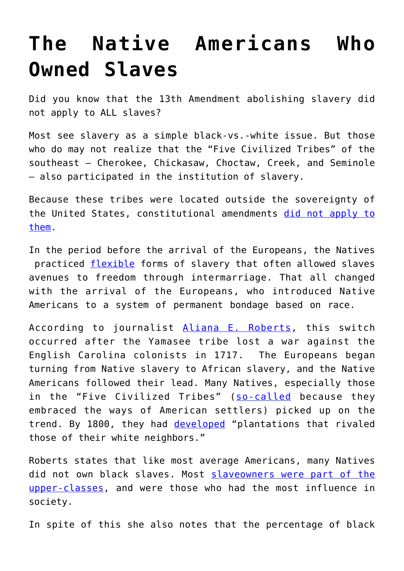## **[The Native Americans Who](https://intellectualtakeout.org/2019/07/the-native-americans-who-owned-slaves/) [Owned Slaves](https://intellectualtakeout.org/2019/07/the-native-americans-who-owned-slaves/)**

Did you know that the 13th Amendment abolishing slavery did not apply to ALL slaves?

Most see slavery as a simple black-vs.-white issue. But those who do may not realize that the "Five Civilized Tribes" of the southeast — Cherokee, Chickasaw, Choctaw, Creek, and Seminole — also participated in the institution of slavery.

Because these tribes were located outside the sovereignty of the United States, constitutional amendments [did not apply to](https://www.aljazeera.com/indepth/opinion/native-americans-adopted-slavery-white-settlers-181225180750948.html) [them](https://www.aljazeera.com/indepth/opinion/native-americans-adopted-slavery-white-settlers-181225180750948.html).

In the period before the arrival of the Europeans, the Natives practiced [flexible](https://oxfordre.com/americanhistory/view/10.1093/acrefore/9780199329175.001.0001/acrefore-9780199329175-e-5) forms of slavery that often allowed slaves avenues to freedom through intermarriage. That all changed with the arrival of the Europeans, who introduced Native Americans to a system of permanent bondage based on race.

According to journalist [Aliana E. Roberts,](https://www.aljazeera.com/indepth/opinion/native-americans-adopted-slavery-white-settlers-181225180750948.html) this switch occurred after the Yamasee tribe lost a war against the English Carolina colonists in 1717. The Europeans began turning from Native slavery to African slavery, and the Native Americans followed their lead. Many Natives, especially those in the "Five Civilized Tribes" ([so-called](https://www.britannica.com/topic/Five-Civilized-Tribes) because they embraced the ways of American settlers) picked up on the trend. By 1800, they had [developed](https://oxfordre.com/americanhistory/view/10.1093/acrefore/9780199329175.001.0001/acrefore-9780199329175-e-5) "plantations that rivaled those of their white neighbors."

Roberts states that like most average Americans, many Natives did not own black slaves. Most [slaveowners were part of the](https://www.aljazeera.com/indepth/opinion/native-americans-adopted-slavery-white-settlers-181225180750948.html) [upper-classes](https://www.aljazeera.com/indepth/opinion/native-americans-adopted-slavery-white-settlers-181225180750948.html), and were those who had the most influence in society.

In spite of this she also notes that the percentage of black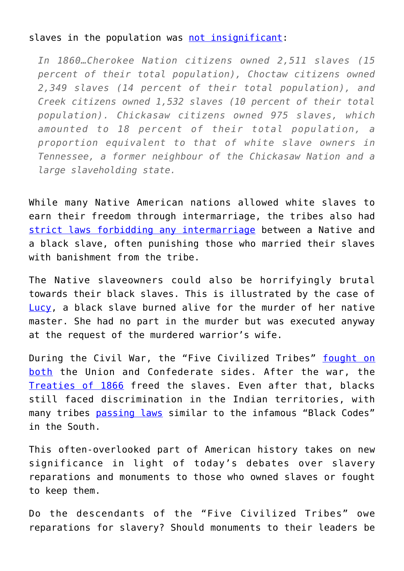## slaves in the population was [not insignificant](https://www.aljazeera.com/indepth/opinion/native-americans-adopted-slavery-white-settlers-181225180750948.html):

*In 1860…Cherokee Nation citizens owned 2,511 slaves (15 percent of their total population), Choctaw citizens owned 2,349 slaves (14 percent of their total population), and Creek citizens owned 1,532 slaves (10 percent of their total population). Chickasaw citizens owned 975 slaves, which amounted to 18 percent of their total population, a proportion equivalent to that of white slave owners in Tennessee, a former neighbour of the Chickasaw Nation and a large slaveholding state.*

While many Native American nations allowed white slaves to earn their freedom through intermarriage, the tribes also had [strict laws forbidding any intermarriage](https://notevenpast.org/black-slaves-indian-masters-slavery-emancipation-and-citizenship-in-the-native-american-south-by-barbara-krauthamer-2013/) between a Native and a black slave, often punishing those who married their slaves with banishment from the tribe

The Native slaveowners could also be horrifyingly brutal towards their black slaves. This is illustrated by the case of [Lucy,](https://notevenpast.org/black-slaves-indian-masters-slavery-emancipation-and-citizenship-in-the-native-american-south-by-barbara-krauthamer-2013/) a black slave burned alive for the murder of her native master. She had no part in the murder but was executed anyway at the request of the murdered warrior's wife.

During the Civil War, the "Five Civilized Tribes" [fought on](https://www.aljazeera.com/indepth/opinion/native-americans-adopted-slavery-white-settlers-181225180750948.html) [both](https://www.aljazeera.com/indepth/opinion/native-americans-adopted-slavery-white-settlers-181225180750948.html) the Union and Confederate sides. After the war, the [Treaties of 1866](https://www.aljazeera.com/indepth/opinion/native-americans-adopted-slavery-white-settlers-181225180750948.html) freed the slaves. Even after that, blacks still faced discrimination in the Indian territories, with many tribes [passing laws](https://notevenpast.org/black-slaves-indian-masters-slavery-emancipation-and-citizenship-in-the-native-american-south-by-barbara-krauthamer-2013/) similar to the infamous "Black Codes" in the South.

This often-overlooked part of American history takes on new significance in light of today's debates over slavery reparations and monuments to those who owned slaves or fought to keep them.

Do the descendants of the "Five Civilized Tribes" owe reparations for slavery? Should monuments to their leaders be